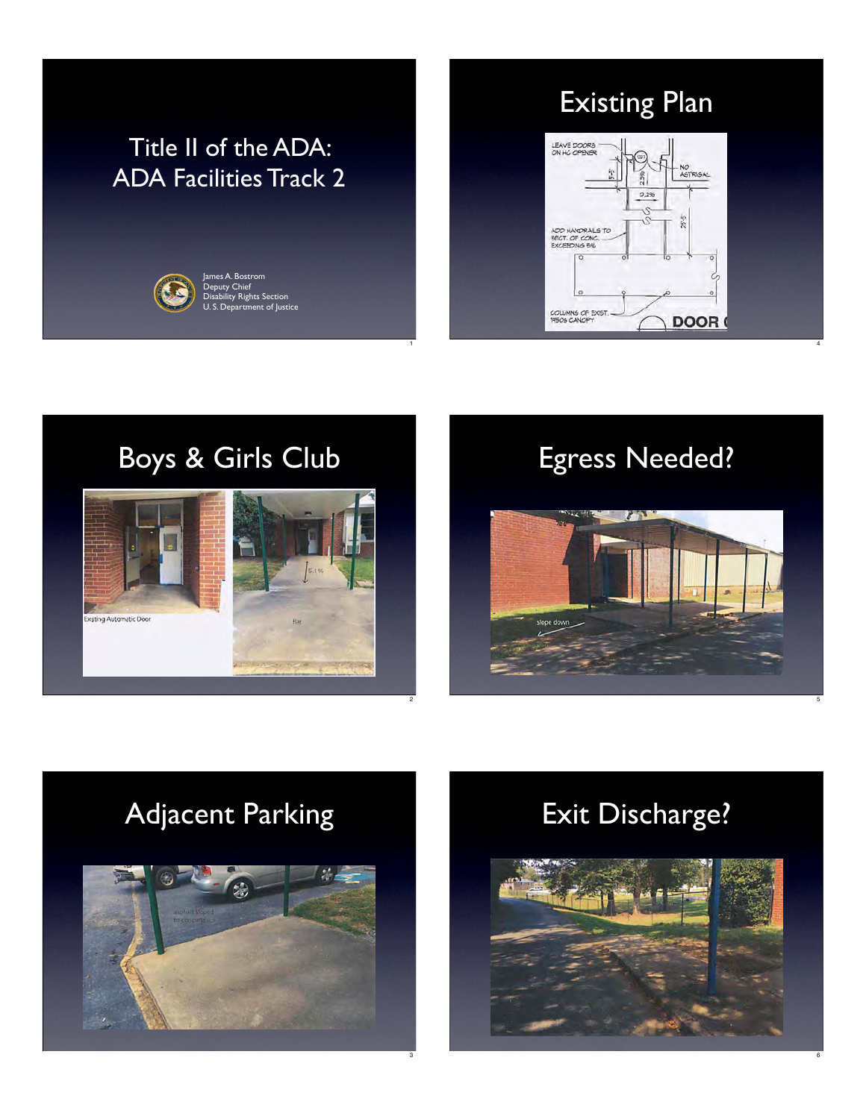## Title II of the ADA: ADA Facilities Track 2

1

2

3



Existing Plan



4

6





# Adjacent Parking



## Exit Discharge?

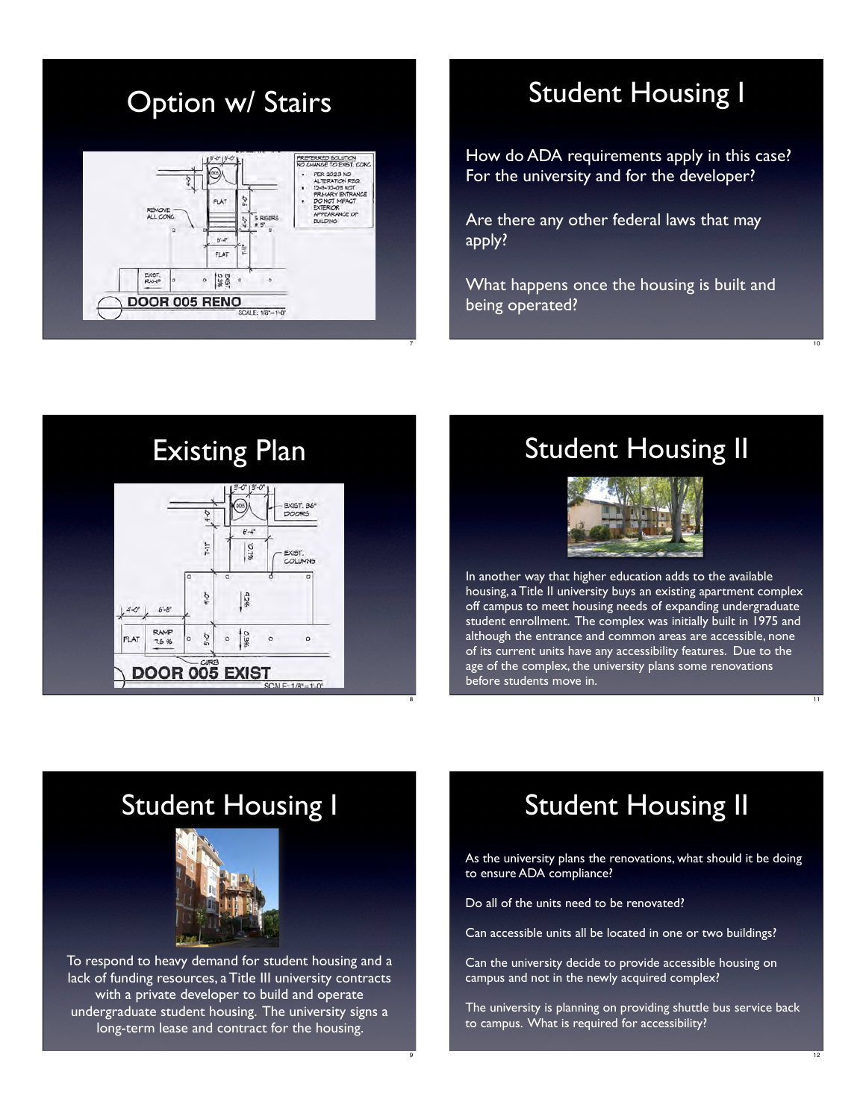## Option w/ Stairs



7

9

## Student Housing I

How do ADA requirements apply in this case? For the university and for the developer?

Are there any other federal laws that may apply?

What happens once the housing is built and being operated?



## Student Housing II



In another way that higher education adds to the available housing, a Title II university buys an existing apartment complex off campus to meet housing needs of expanding undergraduate student enrollment. The complex was initially built in 1975 and although the entrance and common areas are accessible, none of its current units have any accessibility features. Due to the age of the complex, the university plans some renovations before students move in.

### Student Housing I



To respond to heavy demand for student housing and a lack of funding resources, a Title III university contracts with a private developer to build and operate undergraduate student housing. The university signs a long-term lease and contract for the housing.

## Student Housing II

As the university plans the renovations, what should it be doing to ensure ADA compliance?

Do all of the units need to be renovated?

Can accessible units all be located in one or two buildings?

Can the university decide to provide accessible housing on campus and not in the newly acquired complex?

The university is planning on providing shuttle bus service back to campus. What is required for accessibility?

10

11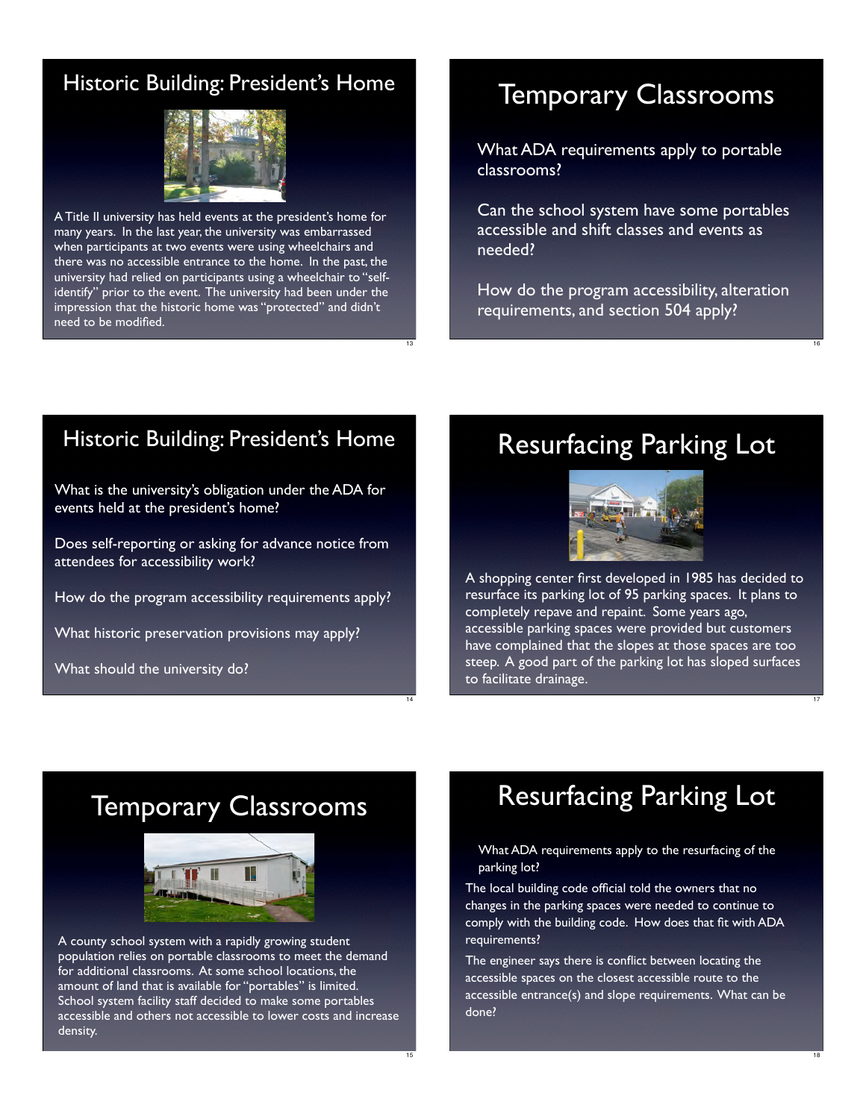#### Historic Building: President's Home



A Title II university has held events at the president's home for many years. In the last year, the university was embarrassed when participants at two events were using wheelchairs and there was no accessible entrance to the home. In the past, the university had relied on participants using a wheelchair to "selfidentify" prior to the event. The university had been under the impression that the historic home was "protected" and didn't need to be modified.

### Temporary Classrooms

What ADA requirements apply to portable classrooms?

Can the school system have some portables accessible and shift classes and events as needed?

How do the program accessibility, alteration requirements, and section 504 apply?

16

17

18

#### Historic Building: President's Home

What is the university's obligation under the ADA for events held at the president's home?

Does self-reporting or asking for advance notice from attendees for accessibility work?

How do the program accessibility requirements apply?

What historic preservation provisions may apply?

What should the university do?

### Resurfacing Parking Lot



A shopping center first developed in 1985 has decided to resurface its parking lot of 95 parking spaces. It plans to completely repave and repaint. Some years ago, accessible parking spaces were provided but customers have complained that the slopes at those spaces are too steep. A good part of the parking lot has sloped surfaces to facilitate drainage.

### Temporary Classrooms



A county school system with a rapidly growing student population relies on portable classrooms to meet the demand for additional classrooms. At some school locations, the amount of land that is available for "portables" is limited. School system facility staff decided to make some portables accessible and others not accessible to lower costs and increase density.

## Resurfacing Parking Lot

What ADA requirements apply to the resurfacing of the parking lot?

The local building code official told the owners that no changes in the parking spaces were needed to continue to comply with the building code. How does that fit with ADA requirements?

The engineer says there is conflict between locating the accessible spaces on the closest accessible route to the accessible entrance(s) and slope requirements. What can be done?

13

14